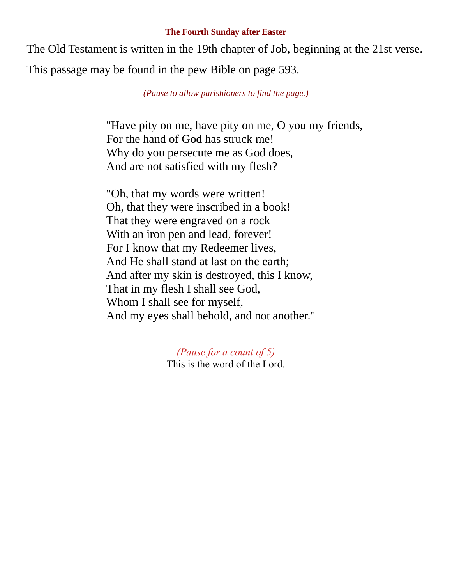## **The Fourth Sunday after Easter**

The Old Testament is written in the 19th chapter of Job, beginning at the 21st verse. This passage may be found in the pew Bible on page 593.

*(Pause to allow parishioners to find the page.)*

"Have pity on me, have pity on me, O you my friends, For the hand of God has struck me! Why do you persecute me as God does, And are not satisfied with my flesh?

"Oh, that my words were written! Oh, that they were inscribed in a book! That they were engraved on a rock With an iron pen and lead, forever! For I know that my Redeemer lives, And He shall stand at last on the earth; And after my skin is destroyed, this I know, That in my flesh I shall see God, Whom I shall see for myself, And my eyes shall behold, and not another."

> *(Pause for a count of 5)* This is the word of the Lord.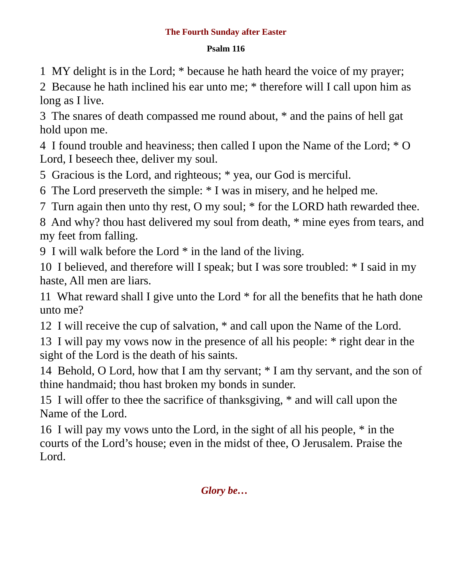## **The Fourth Sunday after Easter**

## **Psalm 116**

1 MY delight is in the Lord; \* because he hath heard the voice of my prayer;

2 Because he hath inclined his ear unto me; \* therefore will I call upon him as long as I live.

3 The snares of death compassed me round about, \* and the pains of hell gat hold upon me.

4 I found trouble and heaviness; then called I upon the Name of the Lord; \* O Lord, I beseech thee, deliver my soul.

5 Gracious is the Lord, and righteous; \* yea, our God is merciful.

6 The Lord preserveth the simple: \* I was in misery, and he helped me.

7 Turn again then unto thy rest, O my soul; \* for the LORD hath rewarded thee.

8 And why? thou hast delivered my soul from death, \* mine eyes from tears, and my feet from falling.

9 I will walk before the Lord \* in the land of the living.

10 I believed, and therefore will I speak; but I was sore troubled: \* I said in my haste, All men are liars.

11 What reward shall I give unto the Lord \* for all the benefits that he hath done unto me?

12 I will receive the cup of salvation, \* and call upon the Name of the Lord.

13 I will pay my vows now in the presence of all his people: \* right dear in the sight of the Lord is the death of his saints.

14 Behold, O Lord, how that I am thy servant; \* I am thy servant, and the son of thine handmaid; thou hast broken my bonds in sunder.

15 I will offer to thee the sacrifice of thanksgiving, \* and will call upon the Name of the Lord.

16 I will pay my vows unto the Lord, in the sight of all his people, \* in the courts of the Lord's house; even in the midst of thee, O Jerusalem. Praise the Lord.

*Glory be…*